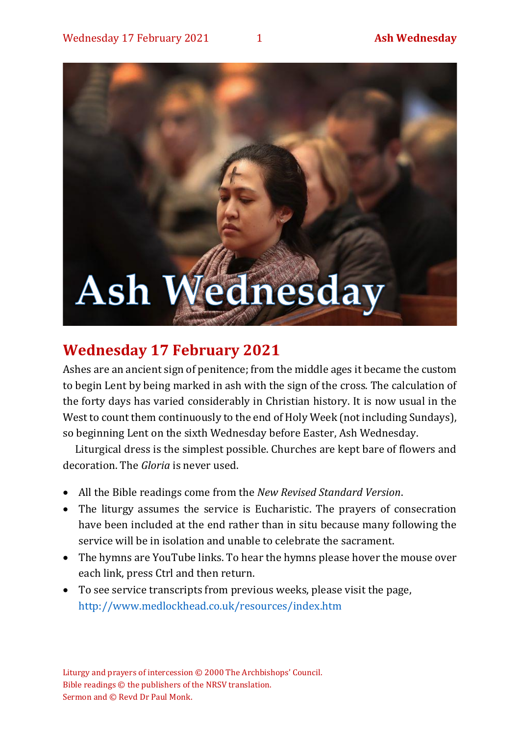# Ash Wednesday

## **Wednesday 17 February 2021**

Ashes are an ancient sign of penitence; from the middle ages it became the custom to begin Lent by being marked in ash with the sign of the cross. The calculation of the forty days has varied considerably in Christian history. It is now usual in the West to count them continuously to the end of Holy Week (not including Sundays), so beginning Lent on the sixth Wednesday before Easter, Ash Wednesday.

Liturgical dress is the simplest possible. Churches are kept bare of flowers and decoration. The *Gloria* is never used.

- All the Bible readings come from the *New Revised Standard Version*.
- The liturgy assumes the service is Eucharistic. The prayers of consecration have been included at the end rather than in situ because many following the service will be in isolation and unable to celebrate the sacrament.
- The hymns are YouTube links. To hear the hymns please hover the mouse over each link, press Ctrl and then return.
- To see service transcripts from previous weeks, please visit the page, <http://www.medlockhead.co.uk/resources/index.htm>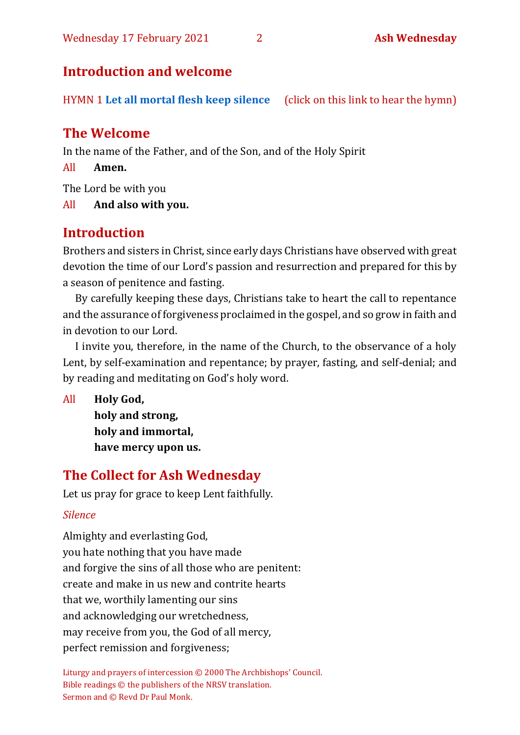### **Introduction and welcome**

HYMN 1 **[Let all mortal flesh keep silence](https://www.youtube.com/watch?v=e2MwVZyHJdo)** (click on this link to hear the hymn)

### **The Welcome**

In the name of the Father, and of the Son, and of the Holy Spirit

All **Amen.**

The Lord be with you

All **And also with you.**

## **Introduction**

Brothers and sisters in Christ, since early days Christians have observed with great devotion the time of our Lord's passion and resurrection and prepared for this by a season of penitence and fasting.

By carefully keeping these days, Christians take to heart the call to repentance and the assurance of forgiveness proclaimed in the gospel, and so grow in faith and in devotion to our Lord.

I invite you, therefore, in the name of the Church, to the observance of a holy Lent, by self-examination and repentance; by prayer, fasting, and self-denial; and by reading and meditating on God's holy word.

All **Holy God, holy and strong, holy and immortal, have mercy upon us.**

## **The Collect for Ash Wednesday**

Let us pray for grace to keep Lent faithfully.

### *Silence*

Almighty and everlasting God, you hate nothing that you have made and forgive the sins of all those who are penitent: create and make in us new and contrite hearts that we, worthily lamenting our sins and acknowledging our wretchedness, may receive from you, the God of all mercy, perfect remission and forgiveness;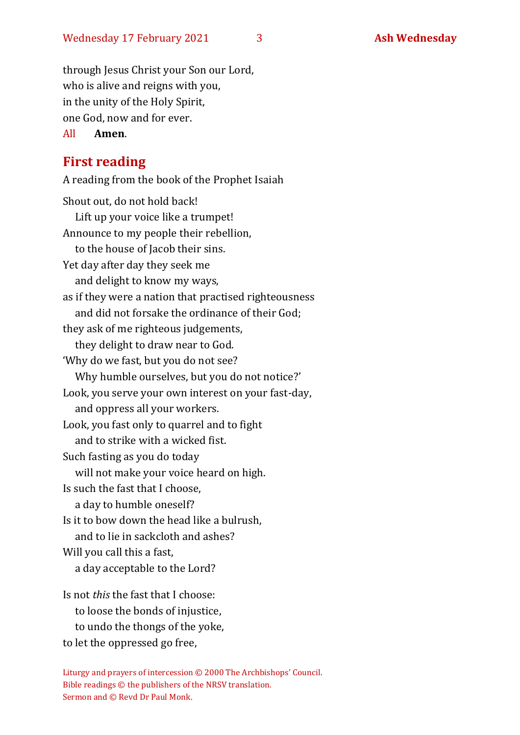through Jesus Christ your Son our Lord, who is alive and reigns with you, in the unity of the Holy Spirit, one God, now and for ever.

### All **Amen**.

### **First reading**

A reading from the book of the Prophet Isaiah Shout out, do not hold back! Lift up your voice like a trumpet! Announce to my people their rebellion, to the house of Jacob their sins. Yet day after day they seek me and delight to know my ways, as if they were a nation that practised righteousness and did not forsake the ordinance of their God; they ask of me righteous judgements, they delight to draw near to God. 'Why do we fast, but you do not see? Why humble ourselves, but you do not notice?' Look, you serve your own interest on your fast-day, and oppress all your workers. Look, you fast only to quarrel and to fight and to strike with a wicked fist. Such fasting as you do today will not make your voice heard on high. Is such the fast that I choose, a day to humble oneself? Is it to bow down the head like a bulrush, and to lie in sackcloth and ashes? Will you call this a fast, a day acceptable to the Lord? Is not *this* the fast that I choose: to loose the bonds of injustice,

to undo the thongs of the yoke,

to let the oppressed go free,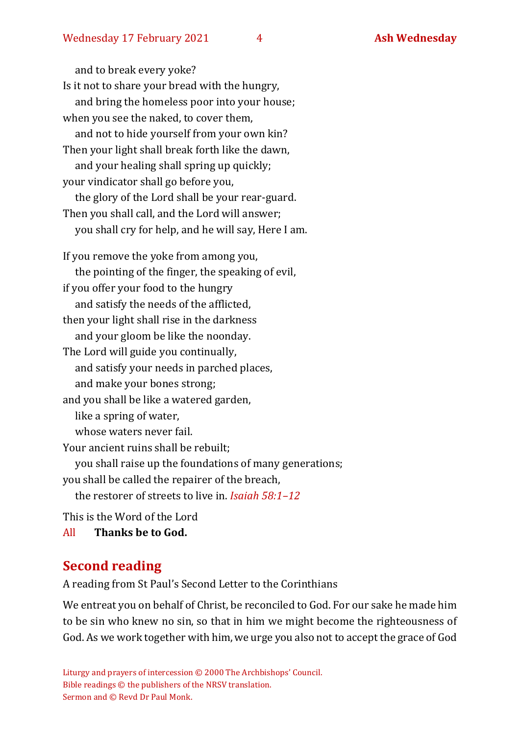and to break every yoke? Is it not to share your bread with the hungry, and bring the homeless poor into your house; when you see the naked, to cover them, and not to hide yourself from your own kin? Then your light shall break forth like the dawn, and your healing shall spring up quickly; your vindicator shall go before you, the glory of the Lord shall be your rear-guard. Then you shall call, and the Lord will answer; you shall cry for help, and he will say, Here I am. If you remove the yoke from among you,

the pointing of the finger, the speaking of evil, if you offer your food to the hungry and satisfy the needs of the afflicted, then your light shall rise in the darkness and your gloom be like the noonday. The Lord will guide you continually, and satisfy your needs in parched places, and make your bones strong; and you shall be like a watered garden, like a spring of water, whose waters never fail Your ancient ruins shall be rebuilt; you shall raise up the foundations of many generations; you shall be called the repairer of the breach, the restorer of streets to live in. *Isaiah 58:1–12* This is the Word of the Lord

All **Thanks be to God.**

### **Second reading**

A reading from St Paul's Second Letter to the Corinthians

We entreat you on behalf of Christ, be reconciled to God. For our sake he made him to be sin who knew no sin, so that in him we might become the righteousness of God. As we work together with him,we urge you also not to accept the grace of God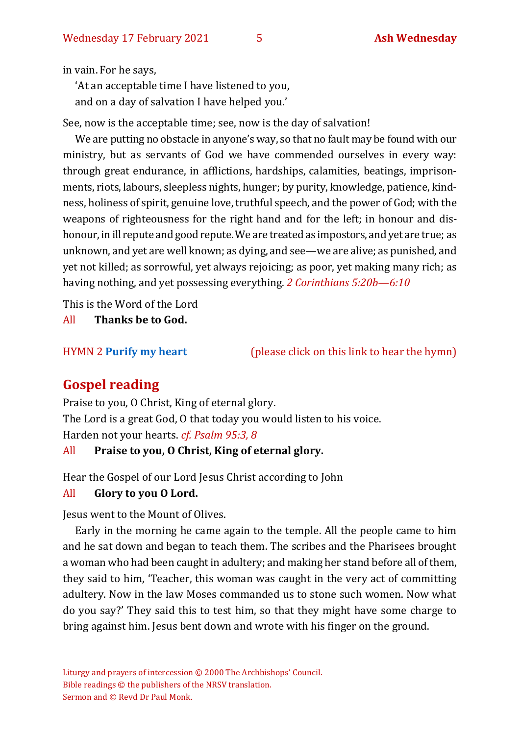in vain. For he says,

'At an acceptable time I have listened to you, and on a day of salvation I have helped you.'

See, now is the acceptable time; see, now is the day of salvation!

We are putting no obstacle in anyone's way, so that no fault may be found with our ministry, but as servants of God we have commended ourselves in every way: through great endurance, in afflictions, hardships, calamities, beatings, imprisonments, riots, labours, sleepless nights, hunger; by purity, knowledge, patience, kindness, holiness of spirit, genuine love, truthful speech, and the power of God; with the weapons of righteousness for the right hand and for the left; in honour and dishonour, in ill repute and good repute. We are treated as impostors, and yet are true; as unknown, and yet are well known; as dying, and see—we are alive; as punished, and yet not killed; as sorrowful, yet always rejoicing; as poor, yet making many rich; as having nothing, and yet possessing everything. *2 Corinthians 5:20b—6:10*

This is the Word of the Lord

All **Thanks be to God.**

HYMN 2 **[Purify my heart](https://www.youtube.com/watch?v=0IvXA0yRDwY)** (please click on this link to hear the hymn)

### **Gospel reading**

Praise to you, O Christ, King of eternal glory. The Lord is a great God, O that today you would listen to his voice. Harden not your hearts. *cf. Psalm 95:3, 8*

### All **Praise to you, O Christ, King of eternal glory.**

Hear the Gospel of our Lord Jesus Christ according to John

### All **Glory to you O Lord.**

Jesus went to the Mount of Olives.

Early in the morning he came again to the temple. All the people came to him and he sat down and began to teach them. The scribes and the Pharisees brought a woman who had been caught in adultery; and making her stand before all of them, they said to him, 'Teacher, this woman was caught in the very act of committing adultery. Now in the law Moses commanded us to stone such women. Now what do you say?' They said this to test him, so that they might have some charge to bring against him. Jesus bent down and wrote with his finger on the ground.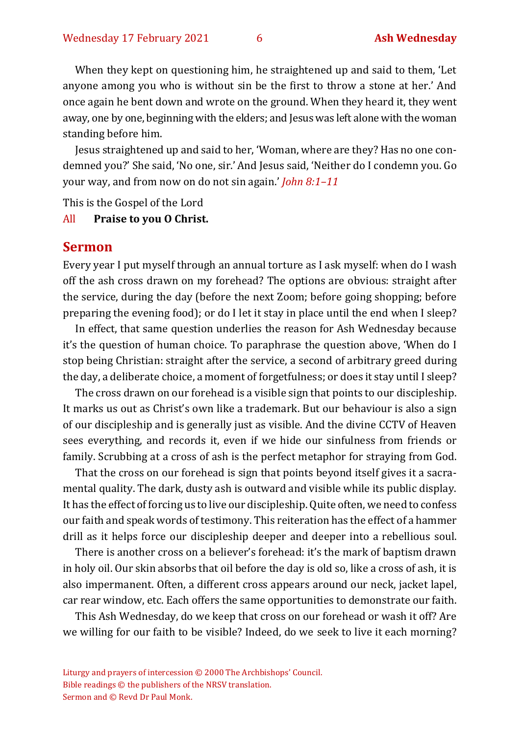When they kept on questioning him, he straightened up and said to them, 'Let anyone among you who is without sin be the first to throw a stone at her.' And once again he bent down and wrote on the ground. When they heard it, they went away, one by one, beginning with the elders; and Jesus was left alone with the woman standing before him.

Jesus straightened up and said to her, 'Woman, where are they? Has no one condemned you?' She said, 'No one, sir.'And Jesus said, 'Neither do I condemn you. Go your way, and from now on do not sin again.' *John 8:1–11*

This is the Gospel of the Lord

### All **Praise to you O Christ.**

### **Sermon**

Every year I put myself through an annual torture as I ask myself: when do I wash off the ash cross drawn on my forehead? The options are obvious: straight after the service, during the day (before the next Zoom; before going shopping; before preparing the evening food); or do I let it stay in place until the end when I sleep?

In effect, that same question underlies the reason for Ash Wednesday because it's the question of human choice. To paraphrase the question above, 'When do I stop being Christian: straight after the service, a second of arbitrary greed during the day, a deliberate choice, a moment of forgetfulness; or does it stay until I sleep?

The cross drawn on our forehead is a visible sign that points to our discipleship. It marks us out as Christ's own like a trademark. But our behaviour is also a sign of our discipleship and is generally just as visible. And the divine CCTV of Heaven sees everything, and records it, even if we hide our sinfulness from friends or family. Scrubbing at a cross of ash is the perfect metaphor for straying from God.

That the cross on our forehead is sign that points beyond itself gives it a sacramental quality. The dark, dusty ash is outward and visible while its public display. It has the effect of forcing us to live our discipleship. Quite often, we need to confess our faith and speak words of testimony. This reiteration has the effect of a hammer drill as it helps force our discipleship deeper and deeper into a rebellious soul.

There is another cross on a believer's forehead: it's the mark of baptism drawn in holy oil. Our skin absorbs that oil before the day is old so, like a cross of ash, it is also impermanent. Often, a different cross appears around our neck, jacket lapel, car rear window, etc. Each offers the same opportunities to demonstrate our faith.

This Ash Wednesday, do we keep that cross on our forehead or wash it off? Are we willing for our faith to be visible? Indeed, do we seek to live it each morning?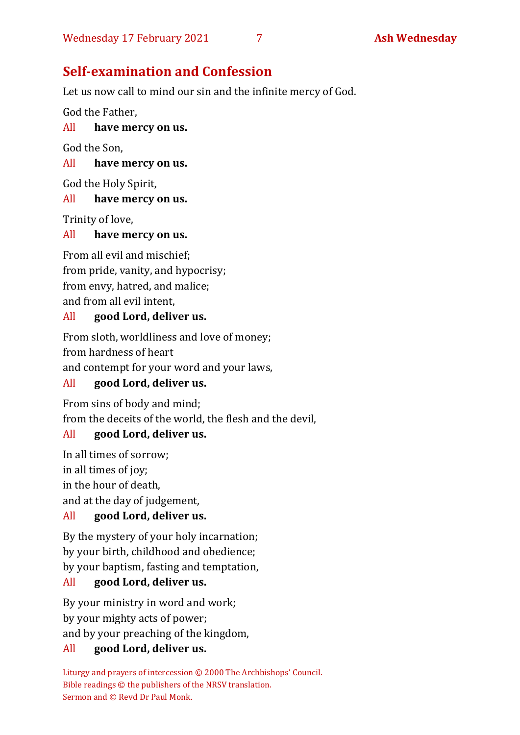# **Self-examination and Confession**

Let us now call to mind our sin and the infinite mercy of God.

God the Father,

### All **have mercy on us.**

God the Son,

### All **have mercy on us.**

God the Holy Spirit,

### All **have mercy on us.**

Trinity of love,

### All **have mercy on us.**

From all evil and mischief; from pride, vanity, and hypocrisy; from envy, hatred, and malice; and from all evil intent,

### All **good Lord, deliver us.**

From sloth, worldliness and love of money; from hardness of heart and contempt for your word and your laws,

### All **good Lord, deliver us.**

From sins of body and mind; from the deceits of the world, the flesh and the devil,

### All **good Lord, deliver us.**

In all times of sorrow; in all times of joy; in the hour of death,

# and at the day of judgement,

### All **good Lord, deliver us.**

By the mystery of your holy incarnation; by your birth, childhood and obedience; by your baptism, fasting and temptation,

### All **good Lord, deliver us.**

By your ministry in word and work; by your mighty acts of power; and by your preaching of the kingdom,

### All **good Lord, deliver us.**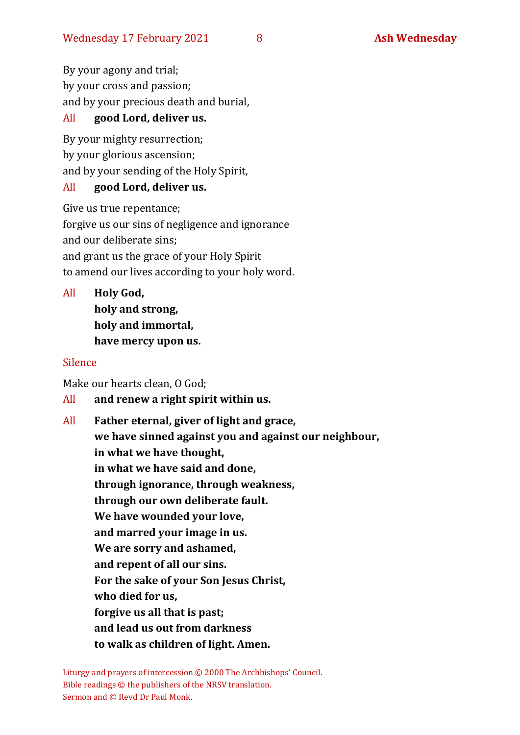By your agony and trial; by your cross and passion; and by your precious death and burial,

### All **good Lord, deliver us.**

By your mighty resurrection; by your glorious ascension; and by your sending of the Holy Spirit,

### All **good Lord, deliver us.**

Give us true repentance; forgive us our sins of negligence and ignorance and our deliberate sins; and grant us the grace of your Holy Spirit to amend our lives according to your holy word.

All **Holy God, holy and strong, holy and immortal, have mercy upon us.**

### Silence

Make our hearts clean, O God;

All **and renew a right spirit within us.**

All **Father eternal, giver of light and grace, we have sinned against you and against our neighbour, in what we have thought, in what we have said and done, through ignorance, through weakness, through our own deliberate fault. We have wounded your love, and marred your image in us. We are sorry and ashamed, and repent of all our sins. For the sake of your Son Jesus Christ, who died for us, forgive us all that is past; and lead us out from darkness to walk as children of light. Amen.**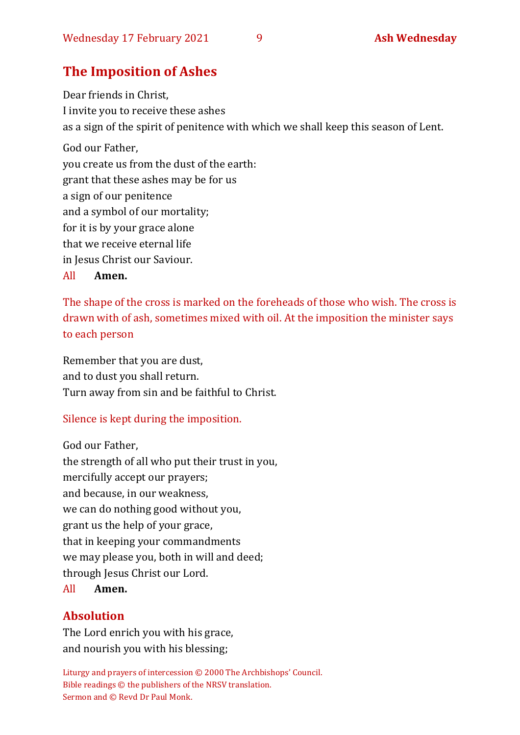### **The Imposition of Ashes**

Dear friends in Christ, I invite you to receive these ashes as a sign of the spirit of penitence with which we shall keep this season of Lent. God our Father, you create us from the dust of the earth: grant that these ashes may be for us a sign of our penitence and a symbol of our mortality; for it is by your grace alone that we receive eternal life in Jesus Christ our Saviour. All **Amen.**

The shape of the cross is marked on the foreheads of those who wish. The cross is drawn with of ash, sometimes mixed with oil. At the imposition the minister says to each person

Remember that you are dust, and to dust you shall return. Turn away from sin and be faithful to Christ.

### Silence is kept during the imposition.

God our Father,

the strength of all who put their trust in you, mercifully accept our prayers; and because, in our weakness, we can do nothing good without you, grant us the help of your grace, that in keeping your commandments we may please you, both in will and deed; through Jesus Christ our Lord.

### All **Amen.**

### **Absolution**

The Lord enrich you with his grace, and nourish you with his blessing;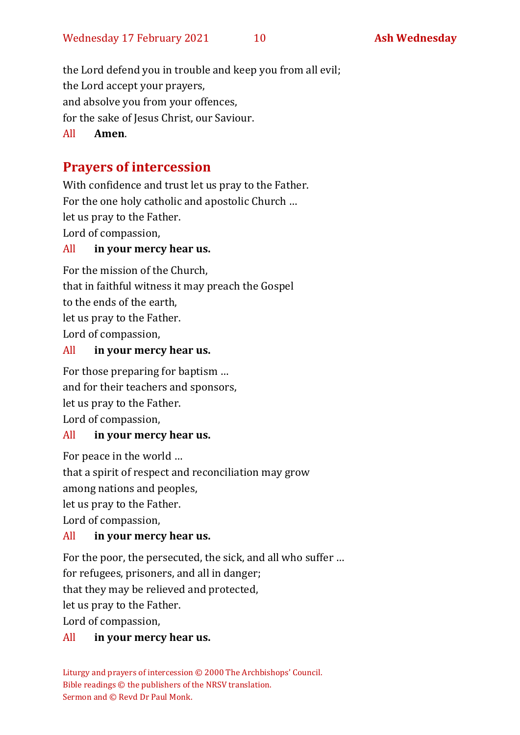the Lord defend you in trouble and keep you from all evil;

the Lord accept your prayers,

and absolve you from your offences,

for the sake of Jesus Christ, our Saviour.

All **Amen**.

# **Prayers of intercession**

With confidence and trust let us pray to the Father. For the one holy catholic and apostolic Church … let us pray to the Father. Lord of compassion,

### All **in your mercy hear us.**

For the mission of the Church, that in faithful witness it may preach the Gospel to the ends of the earth, let us pray to the Father. Lord of compassion,

### All **in your mercy hear us.**

For those preparing for baptism … and for their teachers and sponsors, let us pray to the Father. Lord of compassion,

### All **in your mercy hear us.**

For peace in the world …

that a spirit of respect and reconciliation may grow

among nations and peoples,

let us pray to the Father.

Lord of compassion,

### All **in your mercy hear us.**

For the poor, the persecuted, the sick, and all who suffer …

for refugees, prisoners, and all in danger;

that they may be relieved and protected,

let us pray to the Father.

Lord of compassion,

## All **in your mercy hear us.**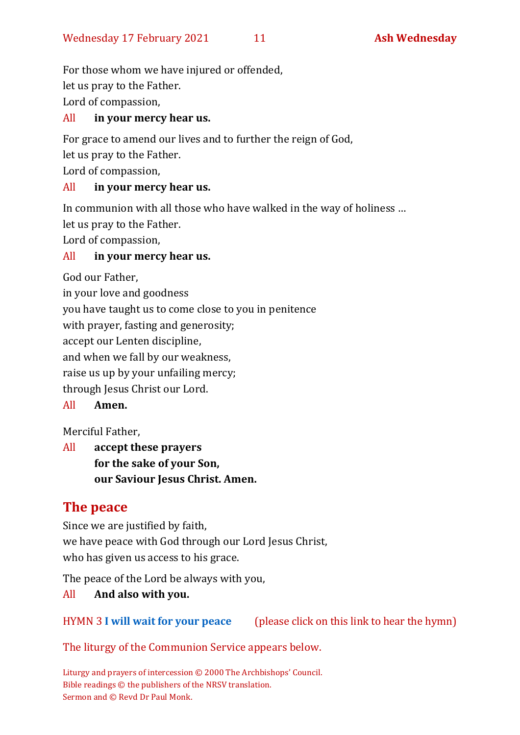For those whom we have injured or offended, let us pray to the Father. Lord of compassion,

### All **in your mercy hear us.**

For grace to amend our lives and to further the reign of God,

let us pray to the Father.

Lord of compassion,

### All **in your mercy hear us.**

In communion with all those who have walked in the way of holiness …

let us pray to the Father.

Lord of compassion,

### All **in your mercy hear us.**

God our Father,

in your love and goodness you have taught us to come close to you in penitence

with prayer, fasting and generosity;

accept our Lenten discipline,

and when we fall by our weakness,

raise us up by your unfailing mercy;

through Jesus Christ our Lord.

### All **Amen.**

Merciful Father,

All **accept these prayers for the sake of your Son, our Saviour Jesus Christ. Amen.**

### **The peace**

Since we are justified by faith, we have peace with God through our Lord Jesus Christ, who has given us access to his grace.

The peace of the Lord be always with you,

### All **And also with you.**

### HYMN 3 **[I will wait for your peace](https://youtu.be/eUwyOWTY8_Y)** (please click on this link to hear the hymn)

### The liturgy of the Communion Service appears below.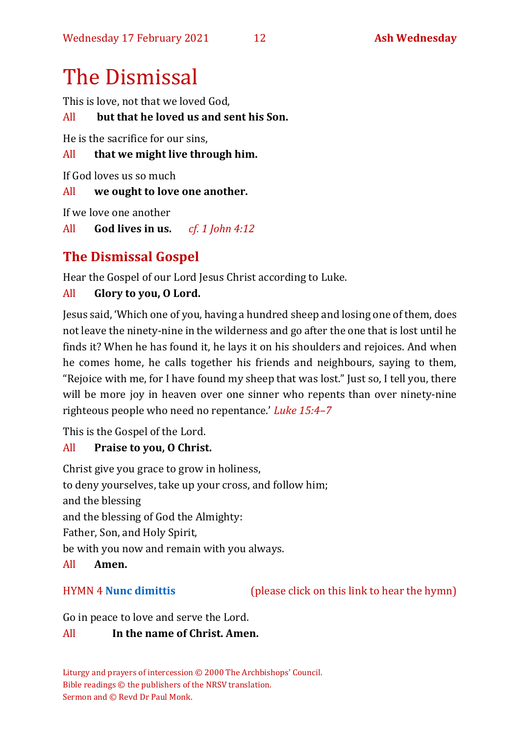# The Dismissal

This is love, not that we loved God,

```
All but that he loved us and sent his Son.
```
He is the sacrifice for our sins,

All **that we might live through him.**

If God loves us so much

All **we ought to love one another.**

If we love one another

All **God lives in us.** *cf. 1 John 4:12*

## **The Dismissal Gospel**

Hear the Gospel of our Lord Jesus Christ according to Luke.

### All **Glory to you, O Lord.**

Jesus said, 'Which one of you, having a hundred sheep and losing one of them, does not leave the ninety-nine in the wilderness and go after the one that is lost until he finds it? When he has found it, he lays it on his shoulders and rejoices. And when he comes home, he calls together his friends and neighbours, saying to them, "Rejoice with me, for I have found my sheep that was lost." Just so, I tell you, there will be more joy in heaven over one sinner who repents than over ninety-nine righteous people who need no repentance.' *Luke 15:4–7*

This is the Gospel of the Lord.

### All **Praise to you, O Christ.**

Christ give you grace to grow in holiness, to deny yourselves, take up your cross, and follow him; and the blessing and the blessing of God the Almighty: Father, Son, and Holy Spirit, be with you now and remain with you always.

### All **Amen.**

HYMN 4 **[Nunc dimittis](https://youtu.be/eRM-nJMRqJo)** (please click on this link to hear the hymn)

Go in peace to love and serve the Lord.

### All **In the name of Christ. Amen.**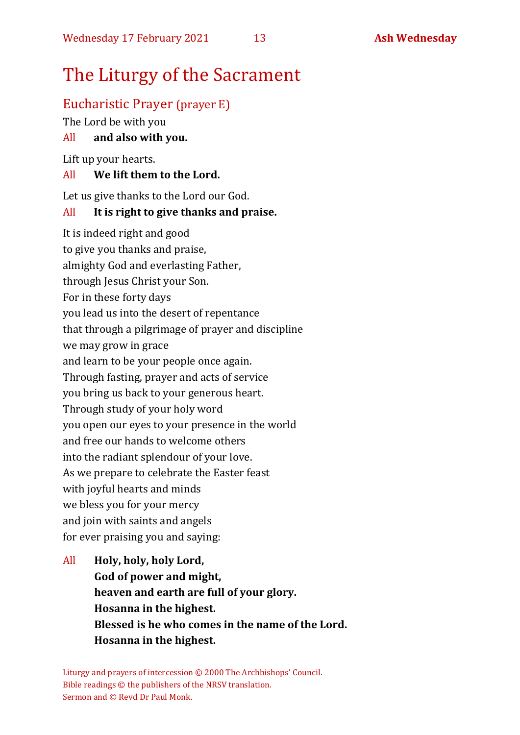# The Liturgy of the Sacrament

### Eucharistic Prayer (prayer E)

The Lord be with you

### All **and also with you.**

Lift up your hearts.

### All **We lift them to the Lord.**

Let us give thanks to the Lord our God.

### All **It is right to give thanks and praise.**

It is indeed right and good to give you thanks and praise, almighty God and everlasting Father, through Jesus Christ your Son. For in these forty days you lead us into the desert of repentance that through a pilgrimage of prayer and discipline we may grow in grace and learn to be your people once again. Through fasting, prayer and acts of service you bring us back to your generous heart. Through study of your holy word you open our eyes to your presence in the world and free our hands to welcome others into the radiant splendour of your love. As we prepare to celebrate the Easter feast with joyful hearts and minds we bless you for your mercy and join with saints and angels for ever praising you and saying:

All **Holy, holy, holy Lord, God of power and might, heaven and earth are full of your glory. Hosanna in the highest. Blessed is he who comes in the name of the Lord. Hosanna in the highest.**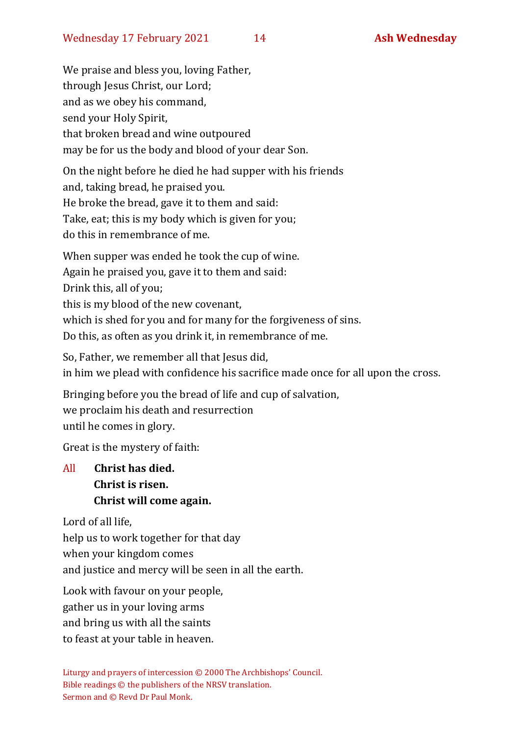We praise and bless you, loving Father, through Jesus Christ, our Lord; and as we obey his command, send your Holy Spirit, that broken bread and wine outpoured may be for us the body and blood of your dear Son.

On the night before he died he had supper with his friends and, taking bread, he praised you. He broke the bread, gave it to them and said: Take, eat; this is my body which is given for you; do this in remembrance of me.

When supper was ended he took the cup of wine. Again he praised you, gave it to them and said: Drink this, all of you; this is my blood of the new covenant, which is shed for you and for many for the forgiveness of sins. Do this, as often as you drink it, in remembrance of me.

So, Father, we remember all that Jesus did, in him we plead with confidence his sacrifice made once for all upon the cross.

Bringing before you the bread of life and cup of salvation, we proclaim his death and resurrection until he comes in glory.

Great is the mystery of faith:

### All **Christ has died. Christ is risen. Christ will come again.**

Lord of all life,

help us to work together for that day

when your kingdom comes

and justice and mercy will be seen in all the earth.

Look with favour on your people,

gather us in your loving arms

and bring us with all the saints

to feast at your table in heaven.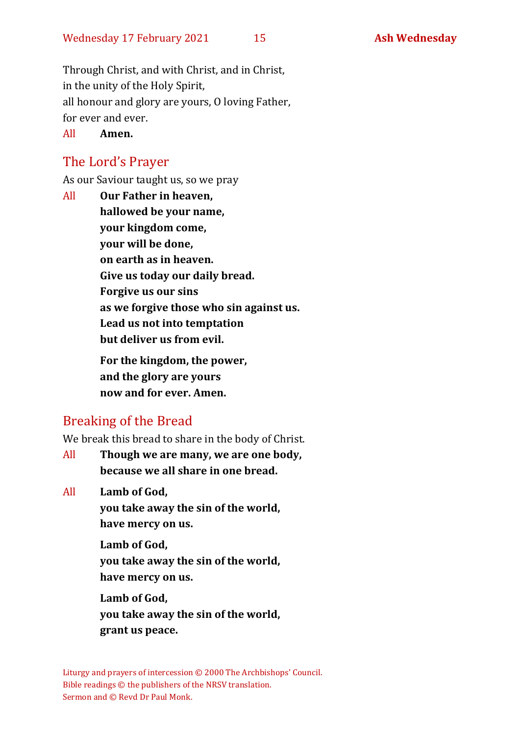Through Christ, and with Christ, and in Christ, in the unity of the Holy Spirit, all honour and glory are yours, O loving Father, for ever and ever.

All **Amen.**

### The Lord's Prayer

As our Saviour taught us, so we pray

All **Our Father in heaven, hallowed be your name, your kingdom come, your will be done, on earth as in heaven. Give us today our daily bread. Forgive us our sins as we forgive those who sin against us. Lead us not into temptation but deliver us from evil. For the kingdom, the power,** 

**and the glory are yours now and for ever. Amen.**

### Breaking of the Bread

We break this bread to share in the body of Christ.

All **Though we are many, we are one body, because we all share in one bread.**

All **Lamb of God,**

**you take away the sin of the world, have mercy on us.**

**Lamb of God, you take away the sin of the world, have mercy on us.**

**Lamb of God, you take away the sin of the world, grant us peace.**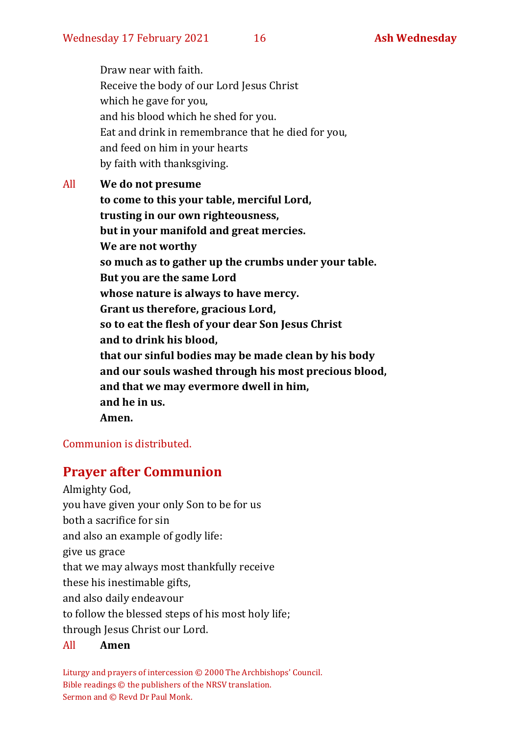Draw near with faith. Receive the body of our Lord Jesus Christ which he gave for you, and his blood which he shed for you. Eat and drink in remembrance that he died for you, and feed on him in your hearts by faith with thanksgiving.

All **We do not presume to come to this your table, merciful Lord, trusting in our own righteousness, but in your manifold and great mercies. We are not worthy so much as to gather up the crumbs under your table. But you are the same Lord whose nature is always to have mercy. Grant us therefore, gracious Lord, so to eat the flesh of your dear Son Jesus Christ and to drink his blood, that our sinful bodies may be made clean by his body and our souls washed through his most precious blood, and that we may evermore dwell in him, and he in us. Amen.**

### Communion is distributed.

### **Prayer after Communion**

Almighty God, you have given your only Son to be for us both a sacrifice for sin and also an example of godly life: give us grace that we may always most thankfully receive these his inestimable gifts, and also daily endeavour to follow the blessed steps of his most holy life; through Jesus Christ our Lord.

### All **Amen**